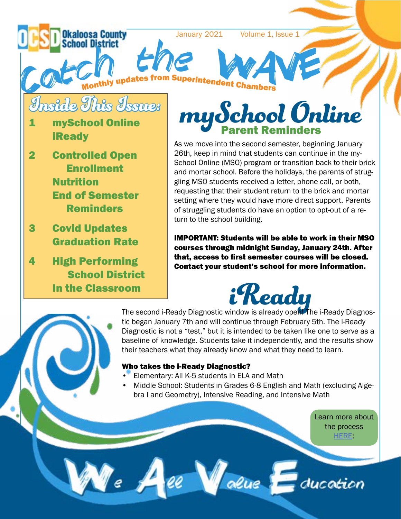aloosa County January 2021 Volume 1, Issue 1 h **h** t VE**S**<br><sup>uperintendent Chambers</sup> e Catc <sup>e</sup><sup>s</sup> f rom S thly updat Mo<sup>n</sup> ber<sup>s</sup> Inside This Issue: my School Online **mySchool Online iReady** As we move into the second semester, beginning January 26th, keep in mind that students can continue in the my-2 Controlled Open School Online (MSO) program or transition back to their brick Enrollment and mortar school. Before the holidays, the parents of strug-Nutrition gling MSO students received a letter, phone call, or both, requesting that their student return to the brick and mortar End of Semester setting where they would have more direct support. Parents Reminders of struggling students do have an option to opt-out of a return to the school building. 3 Covid Updates

Graduation Rate

In the Classroom

School District

4 High Performing

IMPORTANT: Students will be able to work in their MSO courses through midnight Sunday, January 24th. After that, access to first semester courses will be closed. Contact your student's school for more information.



**ick Peady**<br>The second i-Ready Diagnostic window is already open! The i-Ready Diagnostic began January 7th and will continue through February 5th. The i-Ready Diagnostic is not a "test," but it is intended to be taken like one to serve as a baseline of knowledge. Students take it independently, and the results show their teachers what they already know and what they need to learn.

#### Who takes the i-Ready Diagnostic?

- Elementary: All K-5 students in ELA and Math
- Middle School: Students in Grades 6-8 English and Math (excluding Algebra I and Geometry), Intensive Reading, and Intensive Math

ee Value Education

Learn more about the process [HERE](https://share.vidyard.com/watch/LRc9k59Ptg9pq9SBBmM6iz?):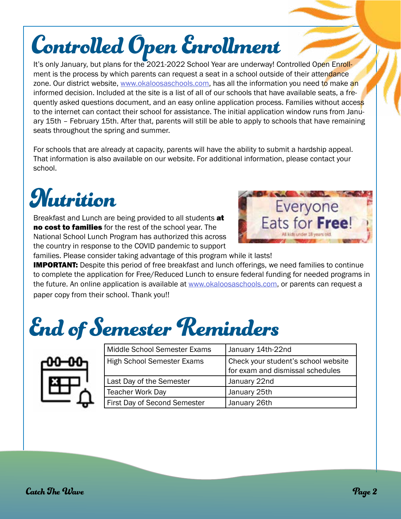## Controlled Open Enrollment

It's only January, but plans for the 2021-2022 School Year are underway! Controlled Open Enrollment is the process by which parents can request a seat in a school outside of their attendance zone. Our district website, [www.okaloosaschools.com](http://www.okaloosaschools.com), has all the information you need to make an informed decision. Included at the site is a list of all of our schools that have available seats, a frequently asked questions document, and an easy online application process. Families without access to the internet can contact their school for assistance. The initial application window runs from January 15th – February 15th. After that, parents will still be able to apply to schools that have remaining seats throughout the spring and summer.

For schools that are already at capacity, parents will have the ability to submit a hardship appeal. That information is also available on our website. For additional information, please contact your school.

### **Nutrition**

Breakfast and Lunch are being provided to all students at no cost to families for the rest of the school year. The National School Lunch Program has authorized this across the country in response to the COVID pandemic to support



families. Please consider taking advantage of this program while it lasts!

**IMPORTANT:** Despite this period of free breakfast and lunch offerings, we need families to continue to complete the application for Free/Reduced Lunch to ensure federal funding for needed programs in the future. An online application is available at [www.okaloosaschools.com](http://www.okaloosaschools.com), or parents can request a paper copy from their school. Thank you!!

### End of Semester Reminders



| Middle School Semester Exams        | January 14th-22nd                                                       |
|-------------------------------------|-------------------------------------------------------------------------|
| <b>High School Semester Exams</b>   | Check your student's school website<br>for exam and dismissal schedules |
| Last Day of the Semester            | January 22nd                                                            |
| <b>Teacher Work Day</b>             | January 25th                                                            |
| <b>First Day of Second Semester</b> | January 26th                                                            |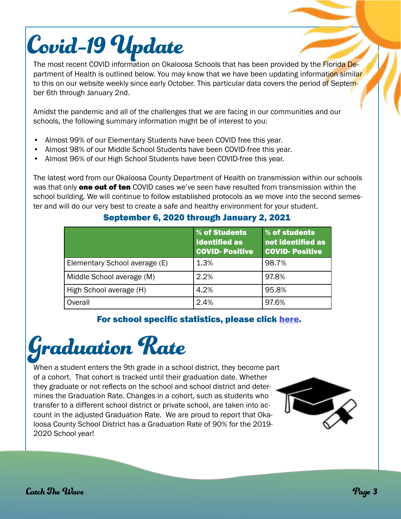## Covid-19 Update

The most recent COVID information on Okaloosa Schools that has been provided by the Florida Department of Health is outlined below. You may know that we have been updating information similar to this on our website weekly since early October. This particular data covers the period of September 6th through January 2nd.

Amidst the pandemic and all of the challenges that we are facing in our communities and our schools, the following summary information might be of interest to you:

- Almost 99% of our Elementary Students have been COVID free this year.
- Almost 98% of our Middle School Students have been COVID-free this year.
- Almost 96% of our High School Students have been COVID-free this year.

The latest word from our Okaloosa County Department of Health on transmission within our schools was that only **one out of ten** COVID cases we've seen have resulted from transmission within the school building. We will continue to follow established protocols as we move into the second semester and will do our very best to create a safe and healthy environment for your student.

|                               | % of Students<br><b>Identified as</b><br><b>COVID-Positive</b> | % of students<br>not identified as<br><b>COVID-Positive</b> |
|-------------------------------|----------------------------------------------------------------|-------------------------------------------------------------|
| Elementary School average (E) | 1.3%                                                           | 98.7%                                                       |
| Middle School average (M)     | 2.2%                                                           | 97.8%                                                       |
| High School average (H)       | 4.2%                                                           | 95.8%                                                       |
| Overall                       | 2.4%                                                           | 97.6%                                                       |

#### September 6, 2020 through January 2, 2021

#### For school specific statistics, please click [here.](https://www.okaloosaschools.com/files/_site/district/2019-nCOV/OCSD-COVID-Data-by-School-9-06-2020-through-1-12-2021_0.pdf)



When a student enters the 9th grade in a school district, they become part of a cohort. That cohort is tracked until their graduation date. Whether they graduate or not reflects on the school and school district and determines the Graduation Rate. Changes in a cohort, such as students who transfer to a different school district or private school, are taken into account in the adjusted Graduation Rate. We are proud to report that Okaloosa County School District has a Graduation Rate of 90% for the 2019- 2020 School year!